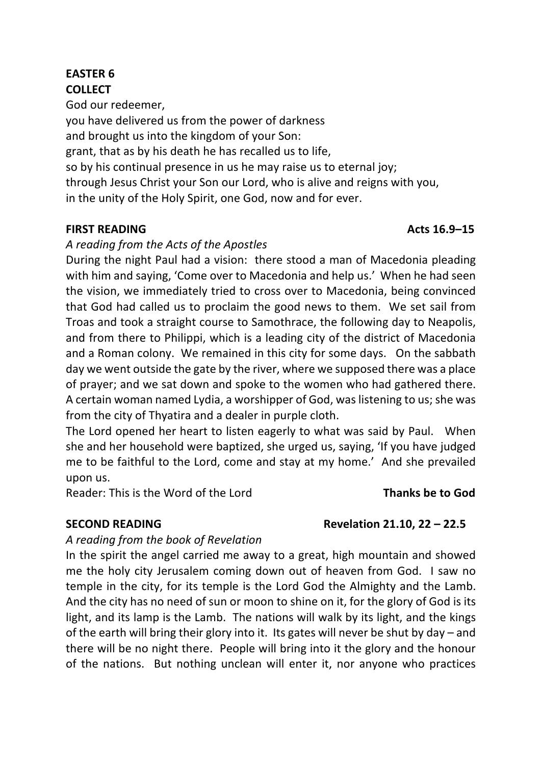## **EASTER 6 COLLECT**

God our redeemer, you have delivered us from the power of darkness and brought us into the kingdom of your Son: grant, that as by his death he has recalled us to life, so by his continual presence in us he may raise us to eternal joy; through Jesus Christ your Son our Lord, who is alive and reigns with you, in the unity of the Holy Spirit, one God, now and for ever.

### **FIRST READING** Acts 16.9–15

### *A reading from the Acts of the Apostles*

During the night Paul had a vision: there stood a man of Macedonia pleading with him and saying, 'Come over to Macedonia and help us.' When he had seen the vision, we immediately tried to cross over to Macedonia, being convinced that God had called us to proclaim the good news to them. We set sail from Troas and took a straight course to Samothrace, the following day to Neapolis, and from there to Philippi, which is a leading city of the district of Macedonia and a Roman colony. We remained in this city for some days. On the sabbath day we went outside the gate by the river, where we supposed there was a place of prayer; and we sat down and spoke to the women who had gathered there. A certain woman named Lydia, a worshipper of God, was listening to us; she was from the city of Thyatira and a dealer in purple cloth.

The Lord opened her heart to listen eagerly to what was said by Paul. When she and her household were baptized, she urged us, saying, 'If you have judged me to be faithful to the Lord, come and stay at my home.' And she prevailed upon us.

Reader: This is the Word of the Lord **Thanks be to God** 

### **SECOND READING Revelation 21.10, 22 – 22.5**

### *A reading from the book of Revelation*

In the spirit the angel carried me away to a great, high mountain and showed me the holy city Jerusalem coming down out of heaven from God. I saw no temple in the city, for its temple is the Lord God the Almighty and the Lamb. And the city has no need of sun or moon to shine on it, for the glory of God is its light, and its lamp is the Lamb. The nations will walk by its light, and the kings of the earth will bring their glory into it. Its gates will never be shut by day – and there will be no night there. People will bring into it the glory and the honour of the nations. But nothing unclean will enter it, nor anyone who practices